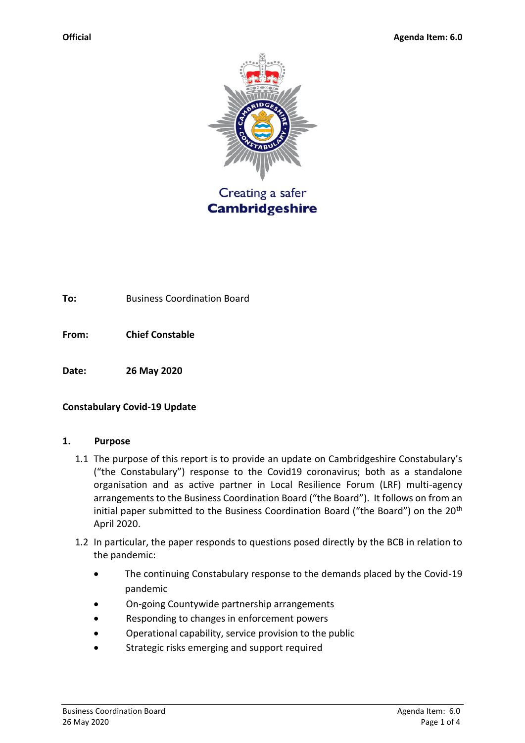

**To:** Business Coordination Board

**From: Chief Constable** 

**Date: 26 May 2020**

#### **Constabulary Covid-19 Update**

#### **1. Purpose**

- 1.1 The purpose of this report is to provide an update on Cambridgeshire Constabulary's ("the Constabulary") response to the Covid19 coronavirus; both as a standalone organisation and as active partner in Local Resilience Forum (LRF) multi-agency arrangements to the Business Coordination Board ("the Board"). It follows on from an initial paper submitted to the Business Coordination Board ("the Board") on the 20<sup>th</sup> April 2020.
- 1.2 In particular, the paper responds to questions posed directly by the BCB in relation to the pandemic:
	- The continuing Constabulary response to the demands placed by the Covid-19 pandemic
	- On-going Countywide partnership arrangements
	- Responding to changes in enforcement powers
	- Operational capability, service provision to the public
	- Strategic risks emerging and support required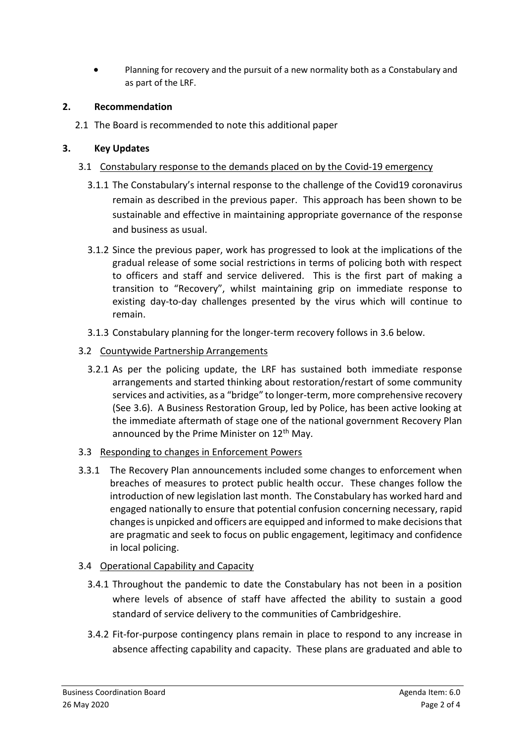• Planning for recovery and the pursuit of a new normality both as a Constabulary and as part of the LRF.

#### **2. Recommendation**

2.1 The Board is recommended to note this additional paper

### **3. Key Updates**

- 3.1 Constabulary response to the demands placed on by the Covid-19 emergency
	- 3.1.1 The Constabulary's internal response to the challenge of the Covid19 coronavirus remain as described in the previous paper. This approach has been shown to be sustainable and effective in maintaining appropriate governance of the response and business as usual.
	- 3.1.2 Since the previous paper, work has progressed to look at the implications of the gradual release of some social restrictions in terms of policing both with respect to officers and staff and service delivered. This is the first part of making a transition to "Recovery", whilst maintaining grip on immediate response to existing day-to-day challenges presented by the virus which will continue to remain.
	- 3.1.3 Constabulary planning for the longer-term recovery follows in 3.6 below.
- 3.2 Countywide Partnership Arrangements
	- 3.2.1 As per the policing update, the LRF has sustained both immediate response arrangements and started thinking about restoration/restart of some community services and activities, as a "bridge" to longer-term, more comprehensive recovery (See 3.6). A Business Restoration Group, led by Police, has been active looking at the immediate aftermath of stage one of the national government Recovery Plan announced by the Prime Minister on 12<sup>th</sup> May.
- 3.3 Responding to changes in Enforcement Powers
- 3.3.1 The Recovery Plan announcements included some changes to enforcement when breaches of measures to protect public health occur. These changes follow the introduction of new legislation last month. The Constabulary has worked hard and engaged nationally to ensure that potential confusion concerning necessary, rapid changes is unpicked and officers are equipped and informed to make decisions that are pragmatic and seek to focus on public engagement, legitimacy and confidence in local policing.

## 3.4 Operational Capability and Capacity

- 3.4.1 Throughout the pandemic to date the Constabulary has not been in a position where levels of absence of staff have affected the ability to sustain a good standard of service delivery to the communities of Cambridgeshire.
- 3.4.2 Fit-for-purpose contingency plans remain in place to respond to any increase in absence affecting capability and capacity. These plans are graduated and able to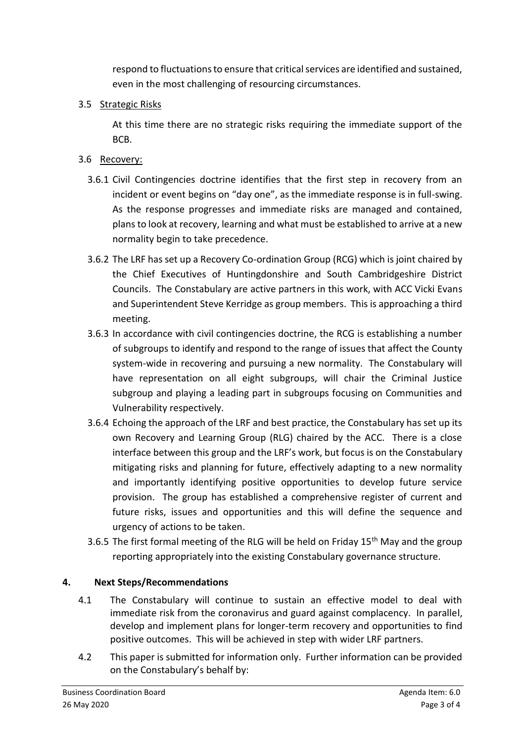respond to fluctuations to ensure that critical services are identified and sustained, even in the most challenging of resourcing circumstances.

### 3.5 Strategic Risks

At this time there are no strategic risks requiring the immediate support of the BCB.

# 3.6 Recovery:

- 3.6.1 Civil Contingencies doctrine identifies that the first step in recovery from an incident or event begins on "day one", as the immediate response is in full-swing. As the response progresses and immediate risks are managed and contained, plans to look at recovery, learning and what must be established to arrive at a new normality begin to take precedence.
- 3.6.2 The LRF has set up a Recovery Co-ordination Group (RCG) which is joint chaired by the Chief Executives of Huntingdonshire and South Cambridgeshire District Councils. The Constabulary are active partners in this work, with ACC Vicki Evans and Superintendent Steve Kerridge as group members. This is approaching a third meeting.
- 3.6.3 In accordance with civil contingencies doctrine, the RCG is establishing a number of subgroups to identify and respond to the range of issues that affect the County system-wide in recovering and pursuing a new normality. The Constabulary will have representation on all eight subgroups, will chair the Criminal Justice subgroup and playing a leading part in subgroups focusing on Communities and Vulnerability respectively.
- 3.6.4 Echoing the approach of the LRF and best practice, the Constabulary has set up its own Recovery and Learning Group (RLG) chaired by the ACC. There is a close interface between this group and the LRF's work, but focus is on the Constabulary mitigating risks and planning for future, effectively adapting to a new normality and importantly identifying positive opportunities to develop future service provision. The group has established a comprehensive register of current and future risks, issues and opportunities and this will define the sequence and urgency of actions to be taken.
- 3.6.5 The first formal meeting of the RLG will be held on Friday 15<sup>th</sup> May and the group reporting appropriately into the existing Constabulary governance structure.

## **4. Next Steps/Recommendations**

- 4.1 The Constabulary will continue to sustain an effective model to deal with immediate risk from the coronavirus and guard against complacency. In parallel, develop and implement plans for longer-term recovery and opportunities to find positive outcomes. This will be achieved in step with wider LRF partners.
- 4.2 This paper is submitted for information only. Further information can be provided on the Constabulary's behalf by: